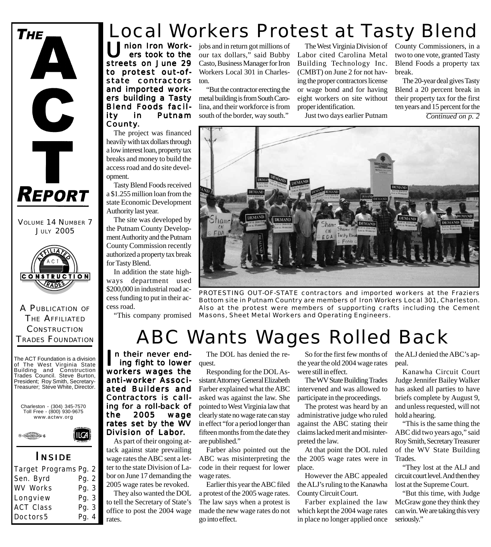

VOLUME 14 NUMBER 7 **JULY 2005** 



A PUBLICATION OF THE AFFILIATED **CONSTRUCTION** TRADES FOUNDATION

The ACT Foundation is a division of The West Virginia State Building and Construction Trades Council. Steve Burton, President; Roy Smith, Secretary-Treasurer; Steve White, Director.





#### *I NSIDE*

ILCA

| Target Programs Pg. 2 |       |  |
|-----------------------|-------|--|
| Sen. Byrd             | Pg. 2 |  |
| <b>WV Works</b>       | Pg. 3 |  |
| Longview              | Pg. 3 |  |
| <b>ACT Class</b>      | Pg. 3 |  |
| Doctors5              | Pg. 4 |  |

### Local Workers Protest at Tasty Blend

nion Iron Work ers took to the streets on June 29 to protest out-ofstate contractors and imported workers building a Tasty Blend Foods facility in Putnam County.

The project was financed heavily with tax dollars through a low interest loan, property tax breaks and money to build the access road and do site development.

Tasty Blend Foods received a \$1.255 million loan from the state Economic Development Authority last year.

The site was developed by the Putnam County Development Authority and the Putnam County Commission recently authorized a property tax break for Tasty Blend.

In addition the state highways department used \$200,000 in industrial road access funding to put in their access road.

jobs and in return got millions of our tax dollars," said Bubby Casto, Business Manager for Iron Workers Local 301 in Charleston.

"But the contractor erecting the metal building is from South Carolina, and their workforce is from south of the border, way south."

The West Virginia Division of County Commissioners, in a Labor cited Carolina Metal Building Technology Inc. (CMBT) on June 2 for not having the proper contractors license or wage bond and for having eight workers on site without proper identification.

Just two days earlier Putnam

two to one vote, granted Tasty Blend Foods a property tax break.

The 20-year deal gives Tasty Blend a 20 percent break in their property tax for the first ten years and 15 percent for the *Continued on p. 2*



*PROTESTING OUT-OF-STATE contractors and imported workers at the Fraziers Bottom site in Putnam Country are members of Iron Workers Local 301, Charleston. Also at the protest were members of supporting crafts including the Cement Masons, Sheet Metal Workers and Operating Engineers.* "This company promised

## ABC Wants Wages Rolled Back

I n their never end ing fight to lower workers wages the anti-worker Associated Builders and Contractors is call- Contractors is calling for a roll-back of the 2005 wage rates set by the WV Division of Labor.

As part of their ongoing attack against state prevailing wage rates the ABC sent a letter to the state Division of Labor on June 17 demanding the 2005 wage rates be revoked.

They also wanted the DOL to tell the Secretary of State's office to post the 2004 wage rates.

The DOL has denied the request.

Responding for the DOL Assistant Attorney General Elizabeth Farber explained what the ABC asked was against the law. She pointed to West Virginia law that clearly state no wage rate can stay in effect "for a period longer than fifteen months from the date they are published."

Farber also pointed out the ABC was misinterpreting the code in their request for lower wage rates.

Earlier this year the ABC filed a protest of the 2005 wage rates. The law says when a protest is made the new wage rates do not go into effect.

So for the first few months of the year the old 2004 wage rates were still in effect.

The WV State Building Trades intervened and was allowed to participate in the proceedings.

The protest was heard by an administrative judge who ruled against the ABC stating their claims lacked merit and misinterpreted the law.

At that point the DOL ruled the 2005 wage rates were in place.

However the ABC appealed the ALJ's ruling to the Kanawha County Circuit Court.

Farber explained the law which kept the 2004 wage rates in place no longer applied once

the ALJ denied the ABC's appeal.

Kanawha Circuit Court Judge Jennifer Bailey Walker has asked all parties to have briefs complete by August 9, and unless requested, will not hold a hearing.

"This is the same thing the ABC did two years ago," said Roy Smith, Secretary Treasurer of the WV State Building Trades.

"They lost at the ALJ and circuit court level. And then they lost at the Supreme Court.

"But this time, with Judge McGraw gone they think they can win. We are taking this very seriously."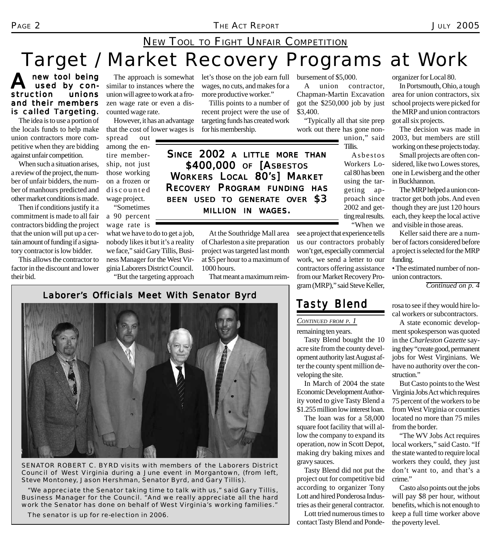# NEW TOOL TO FIGHT UNFAIR COMPETITION

# Target / Market Recovery Programs at Work

new tool being<br>used by con-<br>ction unions used by construction and their members is called Targeting.

The idea is to use a portion of the locals funds to help make union contractors more competitive when they are bidding against unfair competition.

When such a situation arises, a review of the project, the number of unfair bidders, the number of manhours predicted and other market conditions is made.

Then if conditions justify it a commitment is made to all fair contractors bidding the project that the union will put up a certain amount of funding if a signatory contractor is low bidder.

This allows the contractor to factor in the discount and lower their bid.

The approach is somewhat similar to instances where the union will agree to work at a frozen wage rate or even a discounted wage rate.

However, it has an advantage that the cost of lower wages is

spread out among the entire membership, not just those working on a frozen or discounted wage project.

"Sometimes a 90 percent wage rate is what we have to do to get a job, nobody likes it but it's a reality we face," said Gary Tillis, Business Manager for the West Virginia Laborers District Council.

"But the targeting approach

let's those on the job earn full bursement of \$5,000. wages, no cuts, and makes for a more productive worker."

Tillis points to a number of recent project were the use of targeting funds has created work for his membership.

*SINCE 2002 A LITTLE MORE THAN* \$400,000 OF [ASBESTOS *WORKERS LOCAL 80'S] MARKET RECOVERY PROGRAM FUNDING HAS BEEN USED TO GENERATE OVER \$3 MILLION IN WAGES.*

> At the Southridge Mall area of Charleston a site preparation project was targeted last month at \$5 per hour to a maximum of 1000 hours.

That meant a maximum reim-

A union contractor, Chapman-Martin Excavation got the \$250,000 job by just \$3,400.

"Typically all that site prep work out there has gone nonunion," said Tillis.

> Asbestos Workers Local 80 has been using the targeting approach since 2002 and getting real results. "When we

see a project that experience tells us our contractors probably won't get, especially commercial work, we send a letter to our contractors offering assistance from our Market Recovery Program (MRP)," said Steve Keller,

#### Laborer's Officials Meet With Senator Byrd



*SENATOR ROBERT C. BYRD visits with members of the Laborers District Council of West Virginia during a June event in Morgantown, (from left, Steve Montoney, Jason Hershman, Senator Byrd, and Gary Tillis).*

*"We appreciate the Senator taking time to talk with us," said Gary Tillis, Business Manager for the Council. "And we really appreciate all the hard work the Senator has done on behalf of West Virginia's working families."*

*The senator is up for re-election in 2006.*

#### *Tasty Blend*

*CONTINUED FROM P. 1*

remaining ten years.

Tasty Blend bought the 10 acre site from the county development authority last August after the county spent million developing the site.

In March of 2004 the state Economic Development Authority voted to give Tasty Blend a \$1.255 million low interest loan.

The loan was for a 58,000 square foot facility that will allow the company to expand its operation, now in Scott Depot, making dry baking mixes and gravy sauces.

Tasty Blend did not put the project out for competitive bid according to organizer Tony Lott and hired Ponderosa Industries as their general contractor.

Lott tried numerous times to contact Tasty Blend and Pondeorganizer for Local 80.

In Portsmouth, Ohio, a tough area for union contractors, six school projects were picked for the MRP and union contractors got all six projects.

The decision was made in 2003, but members are still working on these projects today.

Small projects are often considered, like two Lowes stores, one in Lewisberg and the other in Buckhannon.

The MRP helped a union contractor get both jobs. And even though they are just 120 hours each, they keep the local active and visible in those areas.

Keller said there are a number of factors considered before a project is selected for the MRP funding.

• The estimated number of nonunion contractors.

*Continued on p. 4*

rosa to see if they would hire local workers or subcontractors.

A state economic development spokesperson was quoted in the *Charleston Gazette* saying they "create good, permanent jobs for West Virginians. We have no authority over the construction."

But Casto points to the West Virginia Jobs Act which requires 75 percent of the workers to be from West Virginia or counties located no more than 75 miles from the border.

"The WV Jobs Act requires local workers," said Casto. "If the state wanted to require local workers they could, they just don't want to, and that's a crime."

Casto also points out the jobs will pay \$8 per hour, without benefits, which is not enough to keep a full time worker above the poverty level.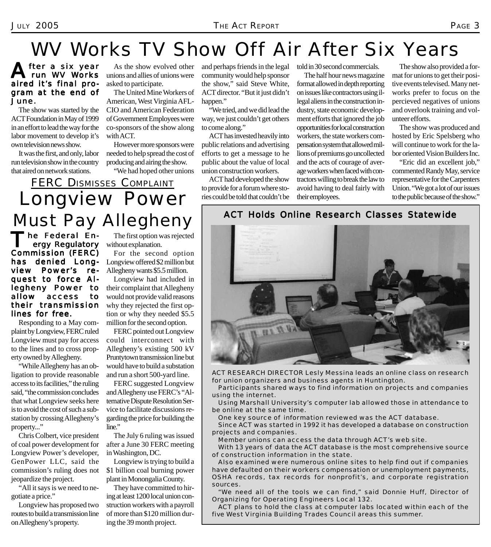## WV Works TV Show Off Air After Six Years

#### fter a six year run WV Works aired it's final program at the end of June.

The show was started by the ACT Foundation in May of 1999 in an effort to lead the way for the labor movement to develop it's own television news show.

It was the first, and only, labor run television show in the country that aired on network stations.

As the show evolved other unions and allies of unions were asked to participate.

The United Mine Workers of American, West Virginia AFL-CIO and American Federation of Government Employees were co-sponsors of the show along with ACT.

However more sponsors were needed to help spread the cost of producing and airing the show.

"We had hoped other unions

and perhaps friends in the legal community would help sponsor the show," said Steve White, ACT director. "But it just didn't happen."

"We tried, and we did lead the way, we just couldn't get others to come along."

ACT has invested heavily into public relations and advertising efforts to get a message to he public about the value of local union construction workers.

ACT had developed the show to provide for a forum where stories could be told that couldn't be told in 30 second commercials.

The half hour news magazine format allowed in depth reporting on issues like contractors using illegal aliens in the construction industry, state economic development efforts that ignored the job opportunities for local construction workers, the state workers compensation system that allowed millions of premiums go uncollected and the acts of courage of average workers when faced with contractors willing to break the law to avoid having to deal fairly with their employees.

The show also provided a format for unions to get their positive events televised. Many networks prefer to focus on the percieved negatives of unions and overlook training and volunteer efforts.

The show was produced and hosted by Eric Spelsberg who will continue to work for the labor oriented Vision Builders Inc.

"Eric did an excellent job," commented Randy May, service representative for the Carpenters Union. "We got a lot of our issues to the public because of the show."

### FERC DISMISSES COMPLAINT Longview Power Must Pay Allegheny

he Federal En ergy Regulatory Commission (FERC) has denied Longview Power's request to force Allegheny Power to allow access to their transmission lines for free.

Responding to a May complaint by Longview, FERC ruled Longview must pay for access to the lines and to cross property owned by Allegheny.

"While Allegheny has an obligation to provide reasonable access to its facilities," the ruling said, "the commission concludes that what Longview seeks here is to avoid the cost of such a substation by crossing Allegheny's property..."

Chris Colbert, vice president of coal power development for Longview Power's developer, GenPower LLC, said the commission's ruling does not jeopardize the project.

"All it says is we need to negotiate a price."

Longview has proposed two routes to build a transmission line on Allegheny's property.

The first option was rejected without explanation.

For the second option Longview offered \$2 million but Allegheny wants \$5.5 million.

Longview had included in their complaint that Allegheny would not provide valid reasons why they rejected the first option or why they needed \$5.5 million for the second option.

FERC pointed out Longview could interconnect with Allegheny's existing 500 kV Pruntytown transmission line but would have to build a substation and run a short 500-yard line.

FERC suggested Longview and Allegheny use FERC's "Alternative Dispute Resolution Service to facilitate discussions regarding the price for building the line."

The July 6 ruling was issued after a June 30 FERC meeting in Washington, DC.

Longview is trying to build a \$1 billion coal burning power plant in Monongalia County.

They have committed to hiring at least 1200 local union construction workers with a payroll of more than \$120 million during the 39 month project.

#### ACT Holds Online Research Classes Statewide



*ACT RESEARCH DIRECTOR Lesly Messina leads an online class on research for union organizers and business agents in Huntington.*

*Participants shared ways to find information on projects and companies using the internet.*

*Using Marshall University's computer lab allowed those in attendance to be online at the same time.*

*One key source of information reviewed was the ACT database.*

*Since ACT was started in 1992 it has developed a database on construction projects and companies.*

*Member unions can access the data through ACT's web site.*

*With 13 years of data the ACT database is the most comprehensive source of construction information in the state.*

*Also examined were numerous online sites to help find out if companies have defaulted on their workers compensation or unemployment payments, OSHA records, tax records for nonprofit's, and corporate registration sources.*

*"We need all of the tools we can find," said Donnie Huff, Director of Organizing for Operating Engineers Local 132.*

*ACT plans to hold the class at computer labs located within each of the five West Virginia Building Trades Council areas this summer.*